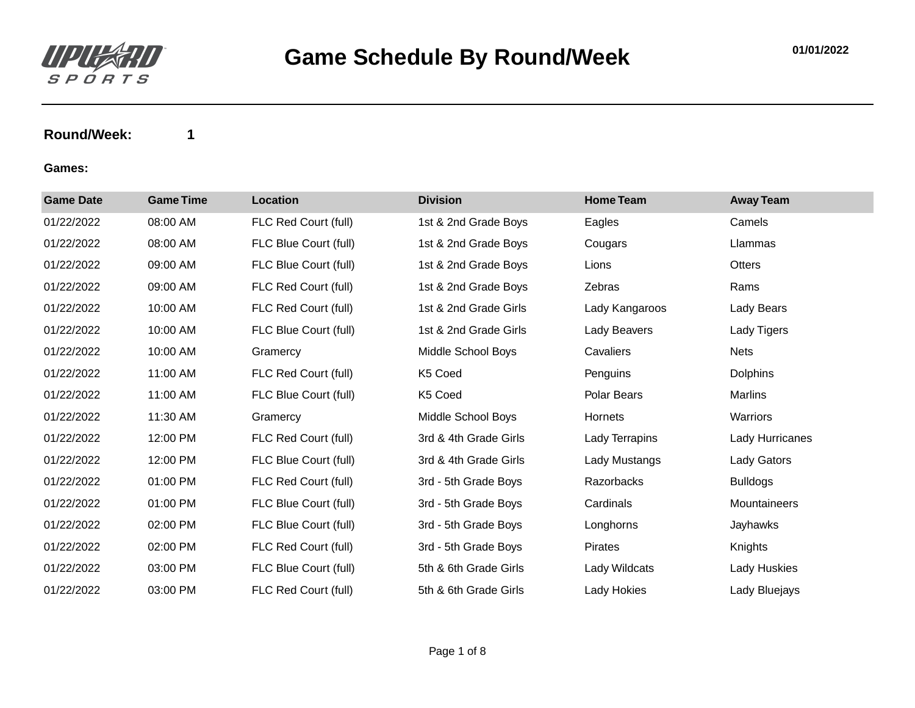

| <b>Game Date</b> | <b>Game Time</b> | <b>Location</b>       | <b>Division</b>       | <b>Home Team</b> | <b>Away Team</b> |
|------------------|------------------|-----------------------|-----------------------|------------------|------------------|
| 01/22/2022       | 08:00 AM         | FLC Red Court (full)  | 1st & 2nd Grade Boys  | Eagles           | Camels           |
| 01/22/2022       | 08:00 AM         | FLC Blue Court (full) | 1st & 2nd Grade Boys  | Cougars          | Llammas          |
| 01/22/2022       | 09:00 AM         | FLC Blue Court (full) | 1st & 2nd Grade Boys  | Lions            | Otters           |
| 01/22/2022       | 09:00 AM         | FLC Red Court (full)  | 1st & 2nd Grade Boys  | Zebras           | Rams             |
| 01/22/2022       | 10:00 AM         | FLC Red Court (full)  | 1st & 2nd Grade Girls | Lady Kangaroos   | Lady Bears       |
| 01/22/2022       | 10:00 AM         | FLC Blue Court (full) | 1st & 2nd Grade Girls | Lady Beavers     | Lady Tigers      |
| 01/22/2022       | 10:00 AM         | Gramercy              | Middle School Boys    | Cavaliers        | <b>Nets</b>      |
| 01/22/2022       | 11:00 AM         | FLC Red Court (full)  | K5 Coed               | Penguins         | <b>Dolphins</b>  |
| 01/22/2022       | 11:00 AM         | FLC Blue Court (full) | K5 Coed               | Polar Bears      | Marlins          |
| 01/22/2022       | 11:30 AM         | Gramercy              | Middle School Boys    | Hornets          | Warriors         |
| 01/22/2022       | 12:00 PM         | FLC Red Court (full)  | 3rd & 4th Grade Girls | Lady Terrapins   | Lady Hurricanes  |
| 01/22/2022       | 12:00 PM         | FLC Blue Court (full) | 3rd & 4th Grade Girls | Lady Mustangs    | Lady Gators      |
| 01/22/2022       | 01:00 PM         | FLC Red Court (full)  | 3rd - 5th Grade Boys  | Razorbacks       | <b>Bulldogs</b>  |
| 01/22/2022       | 01:00 PM         | FLC Blue Court (full) | 3rd - 5th Grade Boys  | Cardinals        | Mountaineers     |
| 01/22/2022       | 02:00 PM         | FLC Blue Court (full) | 3rd - 5th Grade Boys  | Longhorns        | Jayhawks         |
| 01/22/2022       | 02:00 PM         | FLC Red Court (full)  | 3rd - 5th Grade Boys  | Pirates          | Knights          |
| 01/22/2022       | 03:00 PM         | FLC Blue Court (full) | 5th & 6th Grade Girls | Lady Wildcats    | Lady Huskies     |
| 01/22/2022       | 03:00 PM         | FLC Red Court (full)  | 5th & 6th Grade Girls | Lady Hokies      | Lady Bluejays    |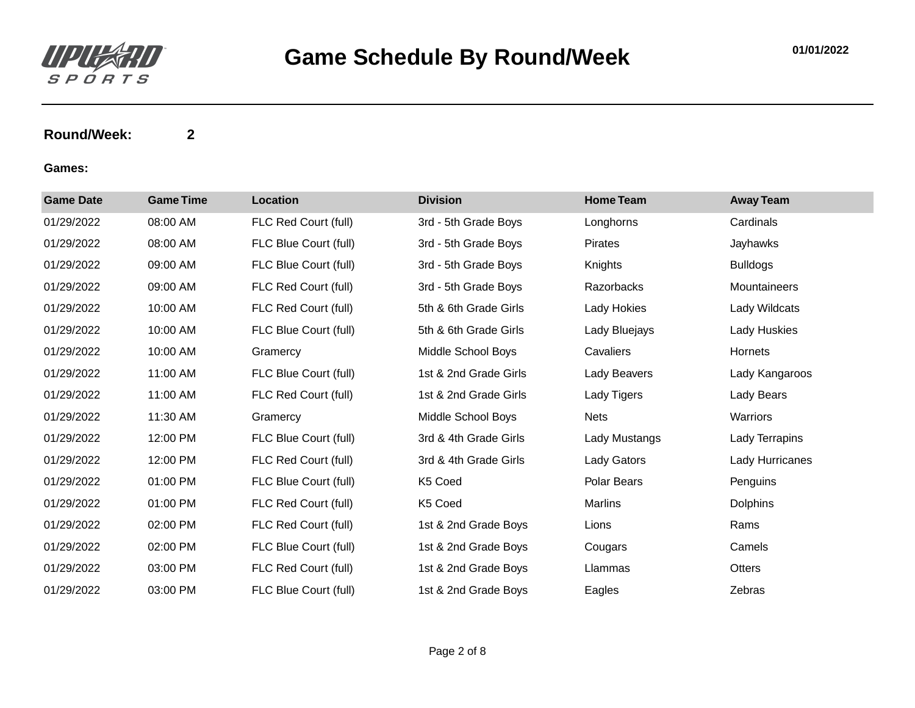

| <b>Game Date</b> | <b>Game Time</b> | <b>Location</b>       | <b>Division</b>       | <b>Home Team</b>   | <b>Away Team</b> |
|------------------|------------------|-----------------------|-----------------------|--------------------|------------------|
| 01/29/2022       | 08:00 AM         | FLC Red Court (full)  | 3rd - 5th Grade Boys  | Longhorns          | Cardinals        |
| 01/29/2022       | 08:00 AM         | FLC Blue Court (full) | 3rd - 5th Grade Boys  | <b>Pirates</b>     | Jayhawks         |
| 01/29/2022       | 09:00 AM         | FLC Blue Court (full) | 3rd - 5th Grade Boys  | Knights            | <b>Bulldogs</b>  |
| 01/29/2022       | 09:00 AM         | FLC Red Court (full)  | 3rd - 5th Grade Boys  | Razorbacks         | Mountaineers     |
| 01/29/2022       | 10:00 AM         | FLC Red Court (full)  | 5th & 6th Grade Girls | Lady Hokies        | Lady Wildcats    |
| 01/29/2022       | 10:00 AM         | FLC Blue Court (full) | 5th & 6th Grade Girls | Lady Bluejays      | Lady Huskies     |
| 01/29/2022       | 10:00 AM         | Gramercy              | Middle School Boys    | Cavaliers          | Hornets          |
| 01/29/2022       | 11:00 AM         | FLC Blue Court (full) | 1st & 2nd Grade Girls | Lady Beavers       | Lady Kangaroos   |
| 01/29/2022       | 11:00 AM         | FLC Red Court (full)  | 1st & 2nd Grade Girls | Lady Tigers        | Lady Bears       |
| 01/29/2022       | 11:30 AM         | Gramercy              | Middle School Boys    | Nets               | Warriors         |
| 01/29/2022       | 12:00 PM         | FLC Blue Court (full) | 3rd & 4th Grade Girls | Lady Mustangs      | Lady Terrapins   |
| 01/29/2022       | 12:00 PM         | FLC Red Court (full)  | 3rd & 4th Grade Girls | <b>Lady Gators</b> | Lady Hurricanes  |
| 01/29/2022       | 01:00 PM         | FLC Blue Court (full) | K5 Coed               | Polar Bears        | Penguins         |
| 01/29/2022       | 01:00 PM         | FLC Red Court (full)  | K5 Coed               | Marlins            | <b>Dolphins</b>  |
| 01/29/2022       | 02:00 PM         | FLC Red Court (full)  | 1st & 2nd Grade Boys  | Lions              | Rams             |
| 01/29/2022       | 02:00 PM         | FLC Blue Court (full) | 1st & 2nd Grade Boys  | Cougars            | Camels           |
| 01/29/2022       | 03:00 PM         | FLC Red Court (full)  | 1st & 2nd Grade Boys  | Llammas            | Otters           |
| 01/29/2022       | 03:00 PM         | FLC Blue Court (full) | 1st & 2nd Grade Boys  | Eagles             | Zebras           |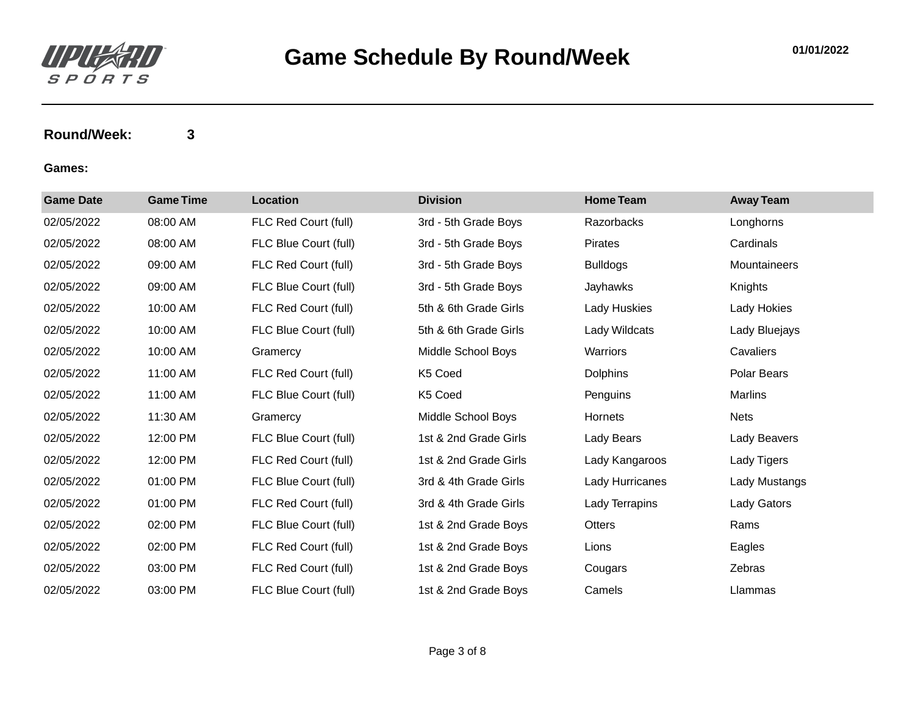

| <b>Game Date</b> | <b>Game Time</b> | <b>Location</b>       | <b>Division</b>       | <b>Home Team</b> | <b>Away Team</b> |
|------------------|------------------|-----------------------|-----------------------|------------------|------------------|
| 02/05/2022       | 08:00 AM         | FLC Red Court (full)  | 3rd - 5th Grade Boys  | Razorbacks       | Longhorns        |
| 02/05/2022       | 08:00 AM         | FLC Blue Court (full) | 3rd - 5th Grade Boys  | Pirates          | Cardinals        |
| 02/05/2022       | 09:00 AM         | FLC Red Court (full)  | 3rd - 5th Grade Boys  | <b>Bulldogs</b>  | Mountaineers     |
| 02/05/2022       | 09:00 AM         | FLC Blue Court (full) | 3rd - 5th Grade Boys  | Jayhawks         | Knights          |
| 02/05/2022       | 10:00 AM         | FLC Red Court (full)  | 5th & 6th Grade Girls | Lady Huskies     | Lady Hokies      |
| 02/05/2022       | 10:00 AM         | FLC Blue Court (full) | 5th & 6th Grade Girls | Lady Wildcats    | Lady Bluejays    |
| 02/05/2022       | 10:00 AM         | Gramercy              | Middle School Boys    | Warriors         | Cavaliers        |
| 02/05/2022       | 11:00 AM         | FLC Red Court (full)  | K5 Coed               | <b>Dolphins</b>  | Polar Bears      |
| 02/05/2022       | 11:00 AM         | FLC Blue Court (full) | K5 Coed               | Penguins         | <b>Marlins</b>   |
| 02/05/2022       | 11:30 AM         | Gramercy              | Middle School Boys    | Hornets          | <b>Nets</b>      |
| 02/05/2022       | 12:00 PM         | FLC Blue Court (full) | 1st & 2nd Grade Girls | Lady Bears       | Lady Beavers     |
| 02/05/2022       | 12:00 PM         | FLC Red Court (full)  | 1st & 2nd Grade Girls | Lady Kangaroos   | Lady Tigers      |
| 02/05/2022       | 01:00 PM         | FLC Blue Court (full) | 3rd & 4th Grade Girls | Lady Hurricanes  | Lady Mustangs    |
| 02/05/2022       | 01:00 PM         | FLC Red Court (full)  | 3rd & 4th Grade Girls | Lady Terrapins   | Lady Gators      |
| 02/05/2022       | 02:00 PM         | FLC Blue Court (full) | 1st & 2nd Grade Boys  | Otters           | Rams             |
| 02/05/2022       | 02:00 PM         | FLC Red Court (full)  | 1st & 2nd Grade Boys  | Lions            | Eagles           |
| 02/05/2022       | 03:00 PM         | FLC Red Court (full)  | 1st & 2nd Grade Boys  | Cougars          | Zebras           |
| 02/05/2022       | 03:00 PM         | FLC Blue Court (full) | 1st & 2nd Grade Boys  | Camels           | Llammas          |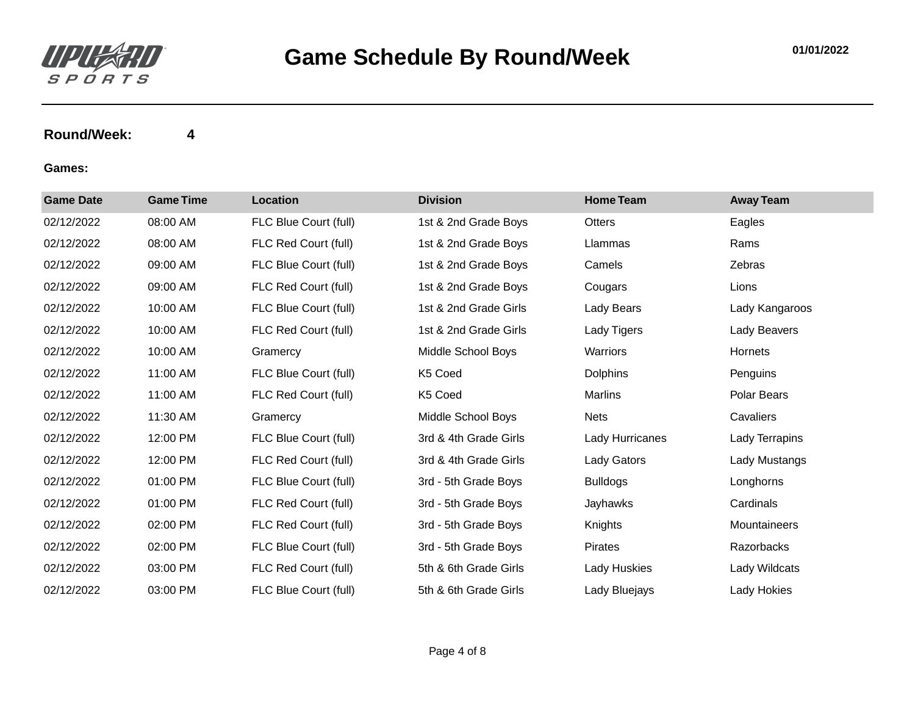

| <b>Game Date</b> | <b>Game Time</b> | <b>Location</b>       | <b>Division</b>       | <b>Home Team</b>   | <b>Away Team</b> |
|------------------|------------------|-----------------------|-----------------------|--------------------|------------------|
| 02/12/2022       | 08:00 AM         | FLC Blue Court (full) | 1st & 2nd Grade Boys  | Otters             | Eagles           |
| 02/12/2022       | 08:00 AM         | FLC Red Court (full)  | 1st & 2nd Grade Boys  | Llammas            | Rams             |
| 02/12/2022       | 09:00 AM         | FLC Blue Court (full) | 1st & 2nd Grade Boys  | Camels             | Zebras           |
| 02/12/2022       | 09:00 AM         | FLC Red Court (full)  | 1st & 2nd Grade Boys  | Cougars            | Lions            |
| 02/12/2022       | 10:00 AM         | FLC Blue Court (full) | 1st & 2nd Grade Girls | Lady Bears         | Lady Kangaroos   |
| 02/12/2022       | 10:00 AM         | FLC Red Court (full)  | 1st & 2nd Grade Girls | Lady Tigers        | Lady Beavers     |
| 02/12/2022       | 10:00 AM         | Gramercy              | Middle School Boys    | Warriors           | Hornets          |
| 02/12/2022       | 11:00 AM         | FLC Blue Court (full) | K5 Coed               | <b>Dolphins</b>    | Penguins         |
| 02/12/2022       | 11:00 AM         | FLC Red Court (full)  | K5 Coed               | Marlins            | Polar Bears      |
| 02/12/2022       | 11:30 AM         | Gramercy              | Middle School Boys    | <b>Nets</b>        | Cavaliers        |
| 02/12/2022       | 12:00 PM         | FLC Blue Court (full) | 3rd & 4th Grade Girls | Lady Hurricanes    | Lady Terrapins   |
| 02/12/2022       | 12:00 PM         | FLC Red Court (full)  | 3rd & 4th Grade Girls | <b>Lady Gators</b> | Lady Mustangs    |
| 02/12/2022       | 01:00 PM         | FLC Blue Court (full) | 3rd - 5th Grade Boys  | <b>Bulldogs</b>    | Longhorns        |
| 02/12/2022       | 01:00 PM         | FLC Red Court (full)  | 3rd - 5th Grade Boys  | Jayhawks           | Cardinals        |
| 02/12/2022       | 02:00 PM         | FLC Red Court (full)  | 3rd - 5th Grade Boys  | Knights            | Mountaineers     |
| 02/12/2022       | 02:00 PM         | FLC Blue Court (full) | 3rd - 5th Grade Boys  | Pirates            | Razorbacks       |
| 02/12/2022       | 03:00 PM         | FLC Red Court (full)  | 5th & 6th Grade Girls | Lady Huskies       | Lady Wildcats    |
| 02/12/2022       | 03:00 PM         | FLC Blue Court (full) | 5th & 6th Grade Girls | Lady Bluejays      | Lady Hokies      |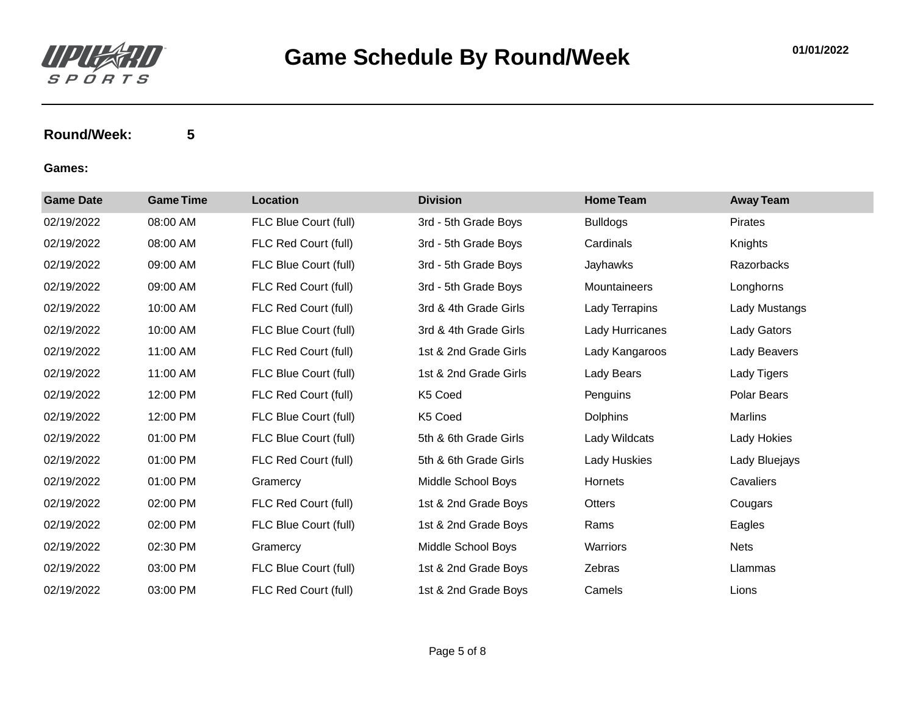

| <b>Game Date</b> | <b>Game Time</b> | Location              | <b>Division</b>       | <b>Home Team</b> | <b>Away Team</b> |
|------------------|------------------|-----------------------|-----------------------|------------------|------------------|
| 02/19/2022       | 08:00 AM         | FLC Blue Court (full) | 3rd - 5th Grade Boys  | <b>Bulldogs</b>  | Pirates          |
| 02/19/2022       | 08:00 AM         | FLC Red Court (full)  | 3rd - 5th Grade Boys  | Cardinals        | Knights          |
| 02/19/2022       | 09:00 AM         | FLC Blue Court (full) | 3rd - 5th Grade Boys  | Jayhawks         | Razorbacks       |
| 02/19/2022       | 09:00 AM         | FLC Red Court (full)  | 3rd - 5th Grade Boys  | Mountaineers     | Longhorns        |
| 02/19/2022       | 10:00 AM         | FLC Red Court (full)  | 3rd & 4th Grade Girls | Lady Terrapins   | Lady Mustangs    |
| 02/19/2022       | 10:00 AM         | FLC Blue Court (full) | 3rd & 4th Grade Girls | Lady Hurricanes  | Lady Gators      |
| 02/19/2022       | 11:00 AM         | FLC Red Court (full)  | 1st & 2nd Grade Girls | Lady Kangaroos   | Lady Beavers     |
| 02/19/2022       | 11:00 AM         | FLC Blue Court (full) | 1st & 2nd Grade Girls | Lady Bears       | Lady Tigers      |
| 02/19/2022       | 12:00 PM         | FLC Red Court (full)  | K5 Coed               | Penguins         | Polar Bears      |
| 02/19/2022       | 12:00 PM         | FLC Blue Court (full) | K5 Coed               | <b>Dolphins</b>  | Marlins          |
| 02/19/2022       | 01:00 PM         | FLC Blue Court (full) | 5th & 6th Grade Girls | Lady Wildcats    | Lady Hokies      |
| 02/19/2022       | 01:00 PM         | FLC Red Court (full)  | 5th & 6th Grade Girls | Lady Huskies     | Lady Bluejays    |
| 02/19/2022       | 01:00 PM         | Gramercy              | Middle School Boys    | Hornets          | Cavaliers        |
| 02/19/2022       | 02:00 PM         | FLC Red Court (full)  | 1st & 2nd Grade Boys  | Otters           | Cougars          |
| 02/19/2022       | 02:00 PM         | FLC Blue Court (full) | 1st & 2nd Grade Boys  | Rams             | Eagles           |
| 02/19/2022       | 02:30 PM         | Gramercy              | Middle School Boys    | Warriors         | <b>Nets</b>      |
| 02/19/2022       | 03:00 PM         | FLC Blue Court (full) | 1st & 2nd Grade Boys  | Zebras           | Llammas          |
| 02/19/2022       | 03:00 PM         | FLC Red Court (full)  | 1st & 2nd Grade Boys  | Camels           | Lions            |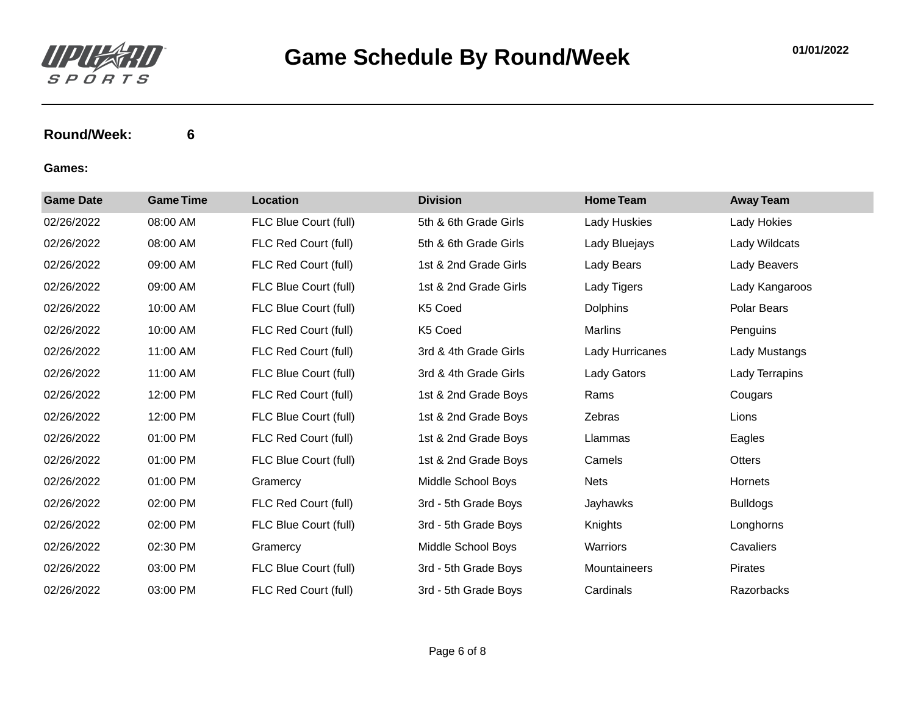

| <b>Game Date</b> | <b>Game Time</b> | Location              | <b>Division</b>       | <b>Home Team</b> | <b>Away Team</b> |
|------------------|------------------|-----------------------|-----------------------|------------------|------------------|
| 02/26/2022       | 08:00 AM         | FLC Blue Court (full) | 5th & 6th Grade Girls | Lady Huskies     | Lady Hokies      |
| 02/26/2022       | 08:00 AM         | FLC Red Court (full)  | 5th & 6th Grade Girls | Lady Bluejays    | Lady Wildcats    |
| 02/26/2022       | 09:00 AM         | FLC Red Court (full)  | 1st & 2nd Grade Girls | Lady Bears       | Lady Beavers     |
| 02/26/2022       | 09:00 AM         | FLC Blue Court (full) | 1st & 2nd Grade Girls | Lady Tigers      | Lady Kangaroos   |
| 02/26/2022       | 10:00 AM         | FLC Blue Court (full) | K5 Coed               | <b>Dolphins</b>  | Polar Bears      |
| 02/26/2022       | 10:00 AM         | FLC Red Court (full)  | K5 Coed               | <b>Marlins</b>   | Penguins         |
| 02/26/2022       | 11:00 AM         | FLC Red Court (full)  | 3rd & 4th Grade Girls | Lady Hurricanes  | Lady Mustangs    |
| 02/26/2022       | 11:00 AM         | FLC Blue Court (full) | 3rd & 4th Grade Girls | Lady Gators      | Lady Terrapins   |
| 02/26/2022       | 12:00 PM         | FLC Red Court (full)  | 1st & 2nd Grade Boys  | Rams             | Cougars          |
| 02/26/2022       | 12:00 PM         | FLC Blue Court (full) | 1st & 2nd Grade Boys  | Zebras           | Lions            |
| 02/26/2022       | 01:00 PM         | FLC Red Court (full)  | 1st & 2nd Grade Boys  | Llammas          | Eagles           |
| 02/26/2022       | 01:00 PM         | FLC Blue Court (full) | 1st & 2nd Grade Boys  | Camels           | Otters           |
| 02/26/2022       | 01:00 PM         | Gramercy              | Middle School Boys    | <b>Nets</b>      | Hornets          |
| 02/26/2022       | 02:00 PM         | FLC Red Court (full)  | 3rd - 5th Grade Boys  | Jayhawks         | <b>Bulldogs</b>  |
| 02/26/2022       | 02:00 PM         | FLC Blue Court (full) | 3rd - 5th Grade Boys  | Knights          | Longhorns        |
| 02/26/2022       | 02:30 PM         | Gramercy              | Middle School Boys    | Warriors         | Cavaliers        |
| 02/26/2022       | 03:00 PM         | FLC Blue Court (full) | 3rd - 5th Grade Boys  | Mountaineers     | Pirates          |
| 02/26/2022       | 03:00 PM         | FLC Red Court (full)  | 3rd - 5th Grade Boys  | Cardinals        | Razorbacks       |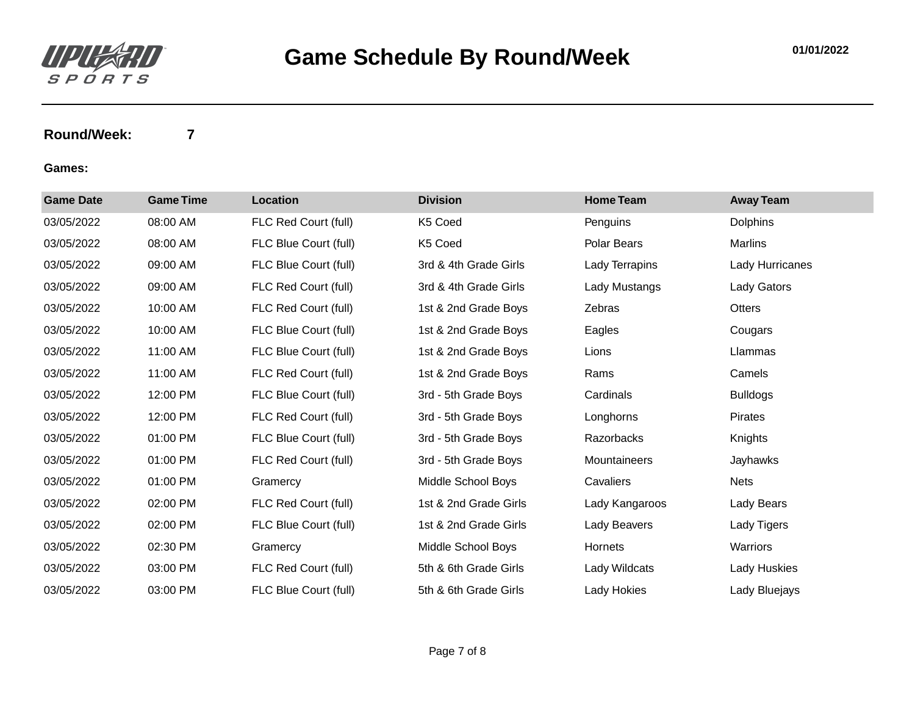

| <b>Game Date</b> | <b>Game Time</b> | Location              | <b>Division</b>       | <b>Home Team</b> | <b>Away Team</b> |
|------------------|------------------|-----------------------|-----------------------|------------------|------------------|
| 03/05/2022       | 08:00 AM         | FLC Red Court (full)  | K5 Coed               | Penguins         | <b>Dolphins</b>  |
| 03/05/2022       | 08:00 AM         | FLC Blue Court (full) | K5 Coed               | Polar Bears      | Marlins          |
| 03/05/2022       | 09:00 AM         | FLC Blue Court (full) | 3rd & 4th Grade Girls | Lady Terrapins   | Lady Hurricanes  |
| 03/05/2022       | 09:00 AM         | FLC Red Court (full)  | 3rd & 4th Grade Girls | Lady Mustangs    | Lady Gators      |
| 03/05/2022       | 10:00 AM         | FLC Red Court (full)  | 1st & 2nd Grade Boys  | Zebras           | Otters           |
| 03/05/2022       | 10:00 AM         | FLC Blue Court (full) | 1st & 2nd Grade Boys  | Eagles           | Cougars          |
| 03/05/2022       | 11:00 AM         | FLC Blue Court (full) | 1st & 2nd Grade Boys  | Lions            | Llammas          |
| 03/05/2022       | 11:00 AM         | FLC Red Court (full)  | 1st & 2nd Grade Boys  | Rams             | Camels           |
| 03/05/2022       | 12:00 PM         | FLC Blue Court (full) | 3rd - 5th Grade Boys  | Cardinals        | <b>Bulldogs</b>  |
| 03/05/2022       | 12:00 PM         | FLC Red Court (full)  | 3rd - 5th Grade Boys  | Longhorns        | Pirates          |
| 03/05/2022       | 01:00 PM         | FLC Blue Court (full) | 3rd - 5th Grade Boys  | Razorbacks       | Knights          |
| 03/05/2022       | 01:00 PM         | FLC Red Court (full)  | 3rd - 5th Grade Boys  | Mountaineers     | Jayhawks         |
| 03/05/2022       | 01:00 PM         | Gramercy              | Middle School Boys    | Cavaliers        | <b>Nets</b>      |
| 03/05/2022       | 02:00 PM         | FLC Red Court (full)  | 1st & 2nd Grade Girls | Lady Kangaroos   | Lady Bears       |
| 03/05/2022       | 02:00 PM         | FLC Blue Court (full) | 1st & 2nd Grade Girls | Lady Beavers     | Lady Tigers      |
| 03/05/2022       | 02:30 PM         | Gramercy              | Middle School Boys    | Hornets          | Warriors         |
| 03/05/2022       | 03:00 PM         | FLC Red Court (full)  | 5th & 6th Grade Girls | Lady Wildcats    | Lady Huskies     |
| 03/05/2022       | 03:00 PM         | FLC Blue Court (full) | 5th & 6th Grade Girls | Lady Hokies      | Lady Bluejays    |